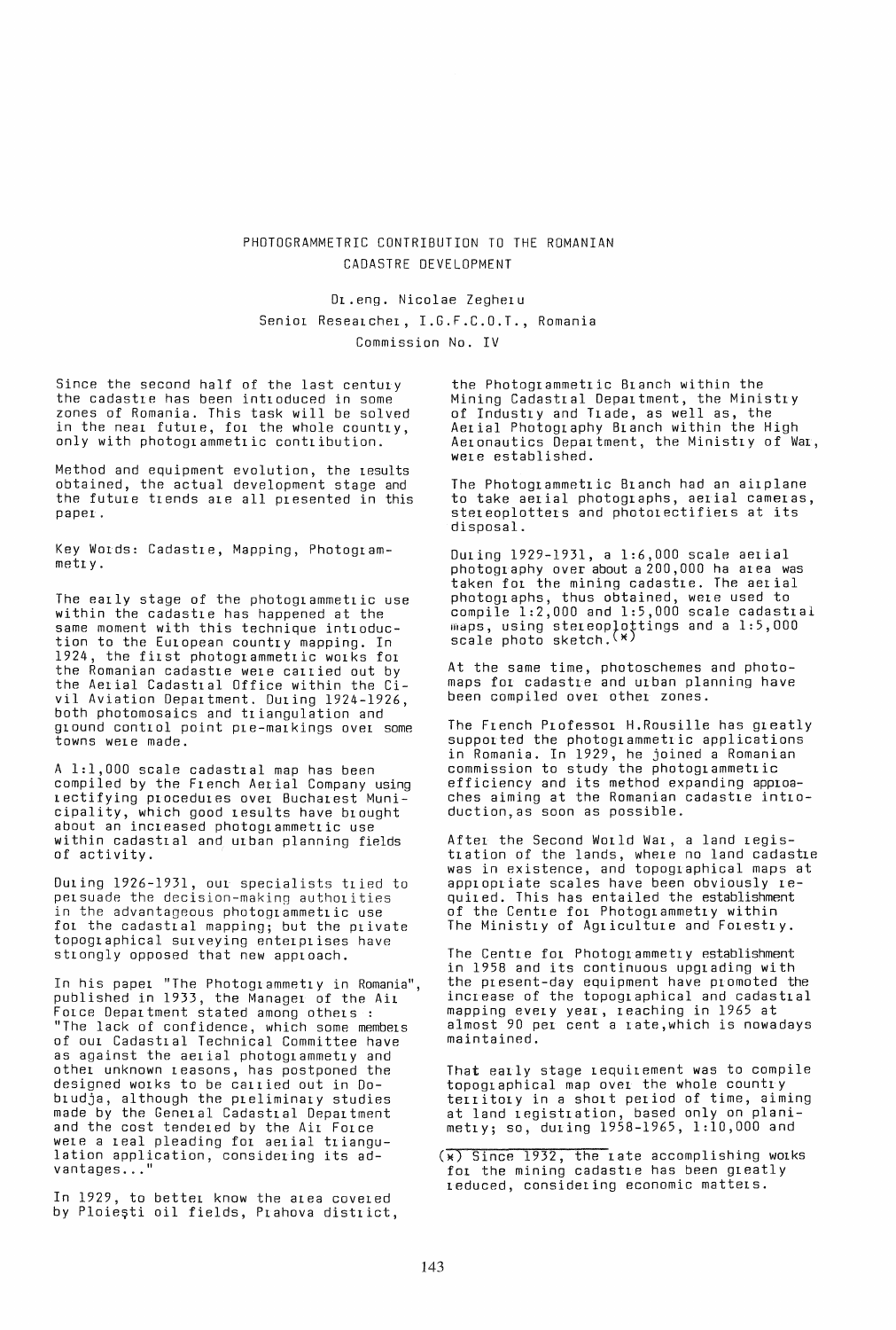## PHOTOGRAMMETRIC CONTRIBUTION TO THE ROMANIAN CADASTRE DEVELOPMENT

Dr.eng. Nicolae Zegheru Senior Researcher, I.G.F.C.O.T., Romania Commission No. IV

Since the second half of the last century the cadastre has been introduced in some zones of Romania. This task will be solved in the near future, for the whole country, only with photogrammetric contribution.

Method and equipment evolution, the results obtained, the actual development stage and the future trends are all presented in this paper.

Key WOLds: Cadastre, Mapping, Photogrammett y.

The early stage of the photogrammetric use within the cadastre has happened at the same moment with this technique introduction to the European country mapping. In 1924, the first photogrammetric works for the Romanian cadastre were carried out by the Aerial Cadastral Office within the Civil Aviation Department. During 1924-1926, both photomosaics and triangulation and ground control point pre-markings over some towns were made.

A 1:1,000 scale cadastral map has been compiled by the French Aerial Company using rectifying procedures over Bucharest Muni-Cipality, which good results have brought about an increased photogrammetric use within cadastral and urban planning fields of activity.

Duing 1926-1931, our specialists tried to persuade the decision-making authorities in the advantageous photogrammetric use for the cadastral mapping; but the private topographical surveying enterprises have strongly opposed that new apploach.

In his paper "The Photogl ammett y in Romania", published in 1933, the Managel of the Air Force Department stated among others: "The lack of confidence, which some members of our Cadastlal Technical Committee have as against the aerial photoglammetry and other unknown reasons, has postponed the designed works to be callied out in 00 bludja, although the preliminary studies made by the General Cadastlal Department and the cost tendered by the Air Force<br>were a real pleading for aerial triangulation application, considering its advantages...'

In 1929, to better know the area covered<br>by Ploiești oil fields, Prahova district,

the Photogrammetric Branch within the Mining Cadastral Department, the Ministry of Industry and Trade, as well as, the Aerial Photography Branch within the High Aelonautics Department, the Ministry of War, were established.

The Photogrammetric Branch had an airplane to take aerial photographs, aerial cameras, stereoplotters and photolectifiers at its disposal.

During 1929-1931, a 1:6,000 scale aerial photography over about a 200,000 ha area was taken for the mining cadastre. The aerial photographs, thus obtained, were used to compile 1:2,000 and 1:5,000 scale cadastral maps, using stereoplottings and a  $1:5,000$ scale photo sketch.<sup>(\*)</sup>

At the same time, photoschemes and photomaps for cadastre and urban planning have been compiled over other zones.

The French Professor H.Rousille has greatly supported the photogrammetric applications in Romania. In 1929, he joined a Romanian commission to study the photogrammetric efficiency and its method expanding approaches aiming at the Romanian cadastre introduction,as soon as possible.

After the Second World War, a land registration of the lands, where no land cadastre was in existence, and topographical maps at appropriate scales have been obviously requit ed. This has entailed the establishment of the Centre for Photogrammetry within The Ministry of Agriculture and Forestry.

The Centre for Photogrammetry establishment in 1958 and its continuous upgrading with the present-day equipment have promoted the increase of the topographical and cadastral mapping every year, reaching in 1965 at almost 90 per cent a rate,which is nowadays maintained.

That early stage requirement was to compile topographical map over the whole country territory in a short period of time, aiming at land registration, based only on planimetry; so, during 1958-1965, 1:10,000 and

 $(x)$  Since 1932, the rate accomplishing works for the mining cadastre has been greatly reduced, considering economic matters.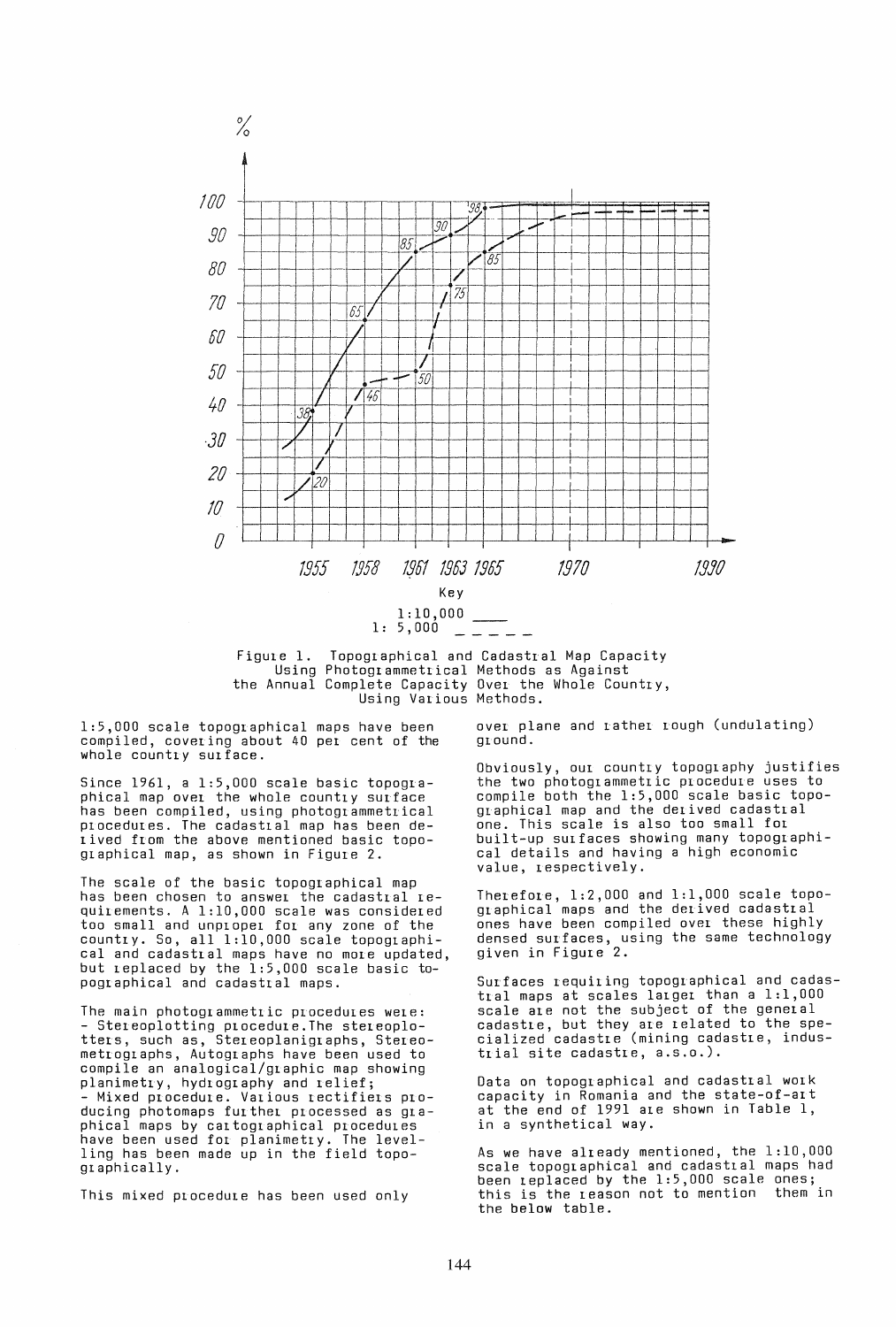

Using Photogrammetrical Methods as Against the Annual Complete Capacity Over the Whole Country, Using Various Methods.

1:5,000 scale topographical maps have been compiled, covering about 40 per cent of the whole country surface.

Since 1961, a 1:5,000 scale basic topographical map over the whole country surface has been compiled, using photogrammetrical procedures. The cadastral map has been deiived from the above mentioned basic topographical map, as shown in Figure 2.

The scale of the basic topographical map has been chosen to answer the cadastral requirements. A 1:10,000 scale was considered<br>too small and unproper for any zone of the country. So, all 1:10,000 scale topographical and cadastral maps have no more updated, but replaced by the 1:5,000 scale basic topographical and cadastral maps.

The main photogrammetric procedures were: Stereoplotting procedure. The stereoplotters, such as, Stereoplanigraphs, Stereometrographs, Autographs have been used to compile an analogical/graphic map showing planimetry, hydrography and relief; Mixed procedure. Various rectifiers producing photomaps further processed as graphical maps by cartographical procedures have been used for planimetry. The level-<br>ling has been made up in the field topographically.

This mixed procedure has been used only

over plane and rather rough (undulating)<br>ground.

Obviously, our country topography justifies the two photogrammetric procedure uses to compile both the 1:5,000 scale basic topographical map and the derived cadastral one. This scale is also too small for built-up surfaces showing many topographical details and having a high economic value, respectively.

Therefore, 1:2,000 and 1:1,000 scale topo-<br>graphical maps and the derived cadastral ones have been compiled over these highly densed surfaces, using the same technology<br>given in Figure 2.

Surfaces requiring topographical and cadastral maps at scales larger than a 1:1,000 scale are not the subject of the general cadastre, but they are related to the spe-<br>cialized cadastre (mining cadastre, industrial site cadastre, a.s.o.).

Data on topographical and cadastral work capacity in Romania and the state-of-art at the end of 1991 are shown in Table 1, in a synthetical way.

As we have already mentioned, the 1:10,000 scale topographical and cadastral maps had<br>been replaced by the 1:5,000 scale ones; this is the reason not to mention them in the below table.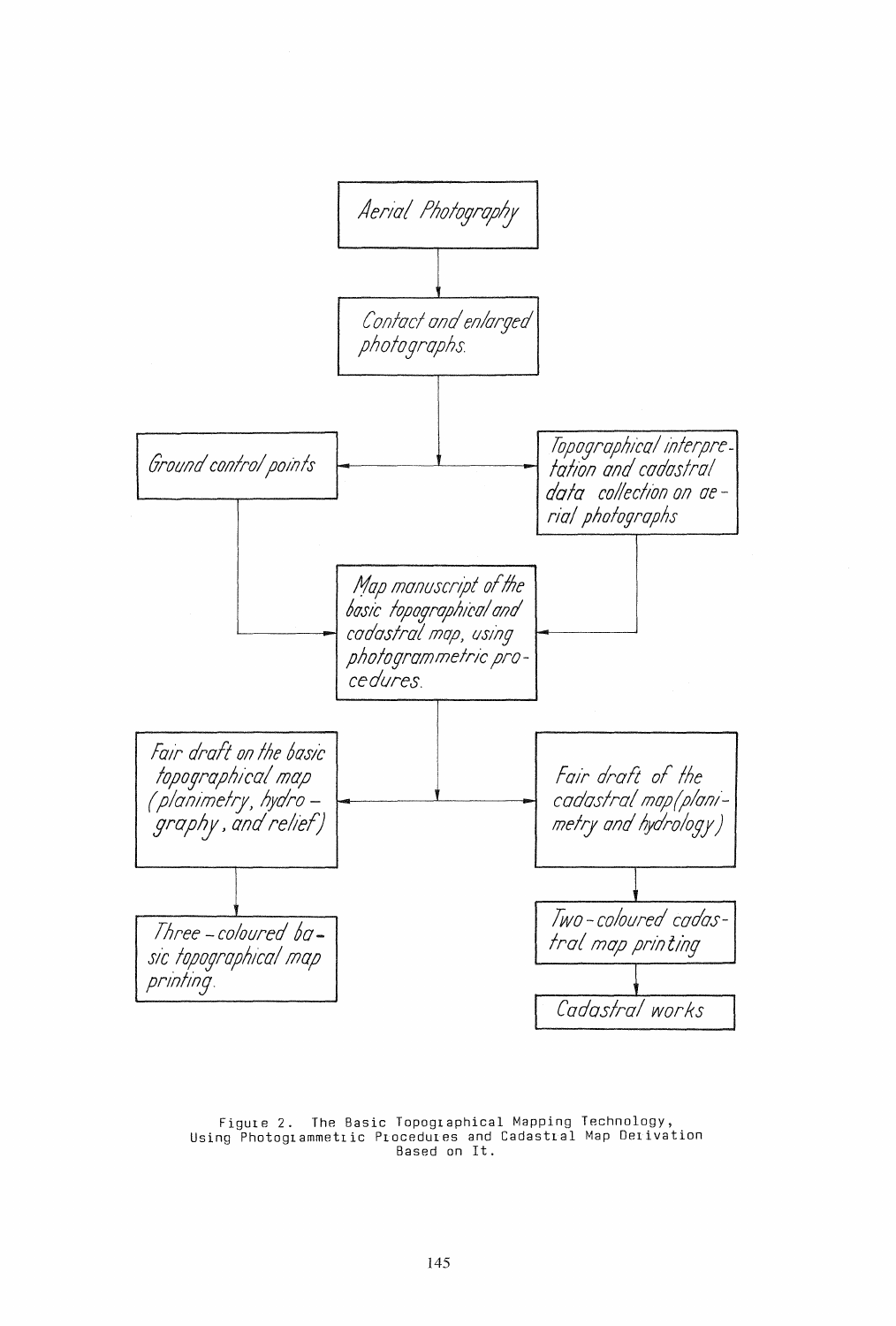

Figure 2. The Basic Topographical Mapping Technology,<br>Using Photogrammetric Procedures and Cadastral Map Derivation Based on It.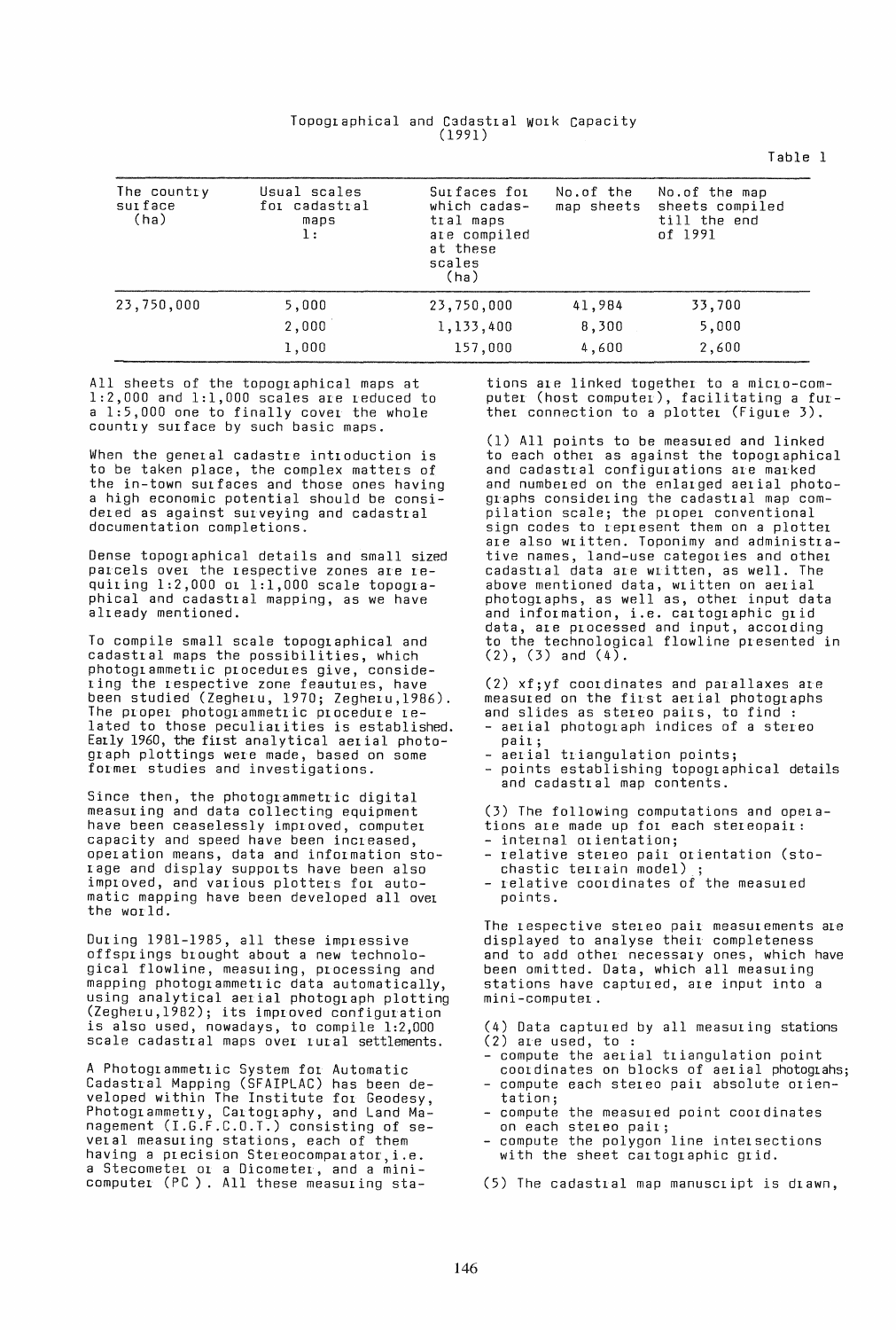| Topographical and Cadastral Work Capacity |        |  |
|-------------------------------------------|--------|--|
|                                           | (1991) |  |

The country Usual scales Surfaces for No.of the No.of the map surface for cadastral which cadas- map sheets sheets compiled (ha) maps transformation of  $\begin{array}{ccc} \text{max} & \text{max} & \text{min} & \text{min} & \text{min} & \text{min} & \text{min} & \text{min} & \text{min} & \text{min} & \text$ are compiled at these scales (ha) 23,750,000 5,000 23,750,000 41,984 33,700 2,000 1,133,400 8,300 5,000 1,000 157,000 4,600 2,600

All sheets of the topographical maps at  $1:2,000$  and  $1:1,000$  scales are reduced to a 1:5,000 one to finally cover the whole country surface by such basic maps.

When the general cadastre introduction is to be taken place, the complex matters of the in-town surfaces and those ones having a high economic potential should be considered as against sULveying and cadastral documentation completions.

Dense topographical details and small sized parcels over the respective zones are requiring  $1:2,000$  or  $1:1,000$  scale topographical and cadastral mapping, as we have already mentioned.

To compile small scale topographical and cadastral maps the possibilities, which photoglammetric procedures give, considering the respective zone feautures, have been studied (Zegheru, 1970; Zegheru,1986). The proper photogrammetric procedure related to those peculiarities is established. Early 1960, the first analytical aerial photograph plottings were made, based on some former studies and investigations.

Since then, the photogrammetric digital measuring and data collecting equipment have been ceaselessly improved, computer capacity and speed have been increased, operation means, data and information storage and display supports have been also improved, and various plotters for automatic mapping have been developed all over the world.

During 1981-1985, all these impressive offsprings brought about a new technological flowline, measuring, processing and mapping photogrammetric data automatically, using analytical aerial photograph plotting (Zegheru,1982); its improved configuration is also used, nowadays, to compile 1:2,000 scale cadastral maps over rural settlements.

A Photogrammetric System for Automatic Cadastral Mapping (SFAIPLAC) has been developed within The Institute for Geodesy, Photogrammetry, Cartography, and Land Management (I.G.F.C.O.T.) consisting of several measuring stations, each of them having a precision Stereocomparator, i.e. a Stecometer or a Dicometer, and a mini-<br>computer (PC ). All these measuring stations are linked together to a micro-computer (host computer), facilitating a further connection to a plotter (Figure 3).

Table 1

(1) All points to be measured and linked to each othel as against the topographical and cadastral configurations are marked and numbeled on the enlarged aerial photographs considering the cadastlal map compilation scale; the propel conventional sign codes to represent them on a plotter are also written. Toponimy and administrative names, land-use categories and other cadastral data are written, as well. The above mentioned data, wlitten on aerial photographs, as well as, other input data and information, i.e. cartographic grid data, ale plocessed and input, according to the technological flowline presented in  $(2)$ ,  $(3)$  and  $(4)$ .

(2) xf;yf coordinates and parallaxes are<br>measured on the first aerial photographs and slides as stereo pairs, to find :<br>- aerial photograph indices of a stereo<br>pair;

- 
- 
- pail;<br>aerial triangulation points;<br>points establishing topographical details and cadastral map contents.

(3) The following computations and opela-

- 
- tions are made up for each stereopair:<br>- internal orientation;<br>- relative stereo pair orientation (sto-<br>chastic terrain model);
- chastic terLain model) ; relative coordinates at the measured points.

The respective stereo pair measurements are displayed to analyse their completeness and to add other necessary ones, which have been omitted. Data, which all measuring stations have captured, are input into a mini-computer.

- (4) Data captured by all measuring stations
- compute the aerial triangulation point coordinates on blocks of aerial photograhs;
- compute each stereo pair absolute orientation;
- compute the measured point coordinates on each stereo pair;
- compute the polygon line intelsections with the sheet cartographic grid.

(5) The cadastral map manusclipt is drawn,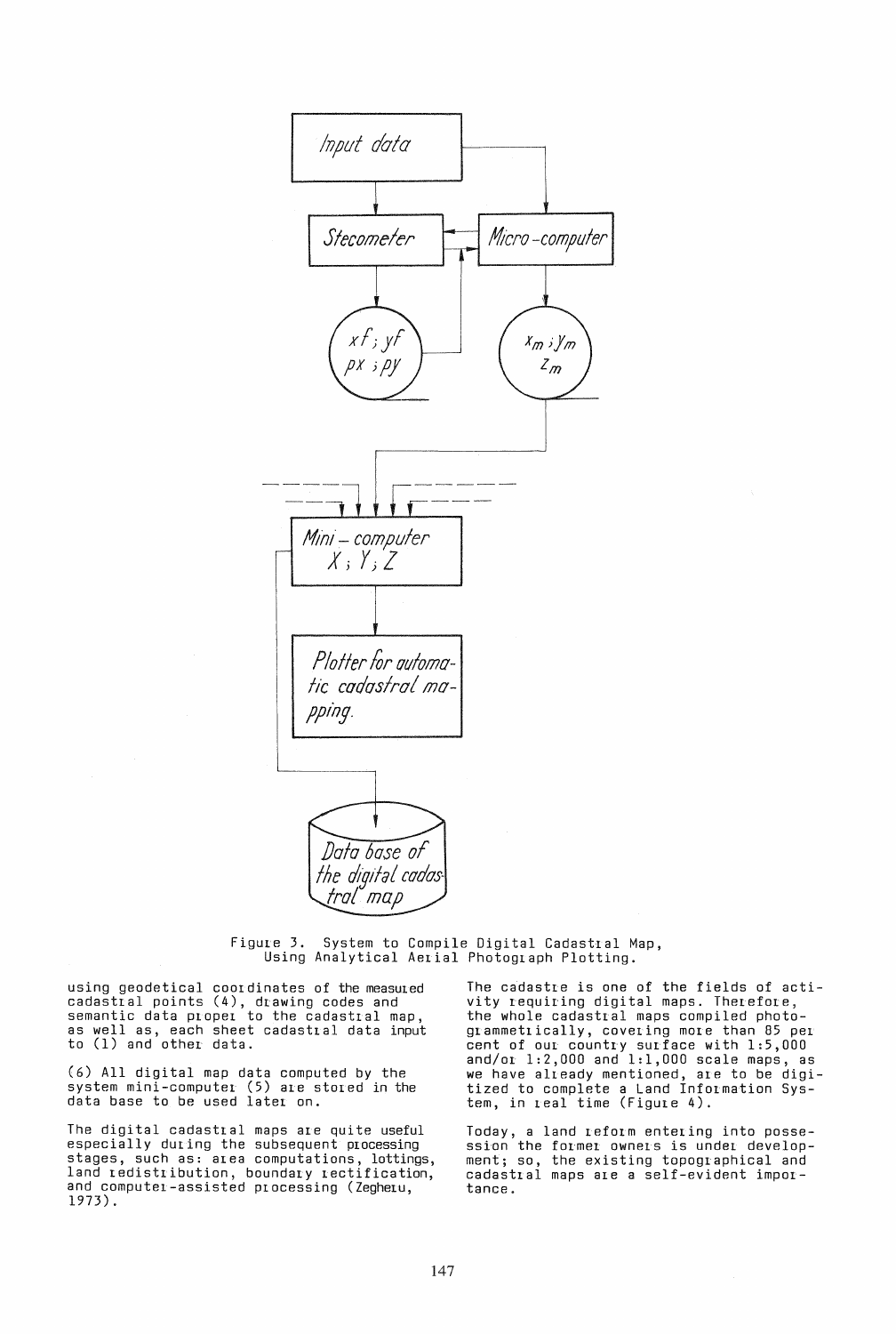

 $Figure 3.$  System to Compile Digital Cadastral Map, Using Analytical AeLial Photograph Plotting.

using geodetical coordinates of the measured cadastral points (4), drawing codes and semantic data proper to the cadastral map, as well as, each sheet cadastral data input to (1) and other data.

(6) All digital map data computed by the system mini-computer (5) are stored in the data base to be used later on.

The digital cadastral maps are quite useful especially during the subsequent processing stages, such as: area computations, lottings, land redistribution, boundary rectification, and computer-assisted processing (Zegheru, 1973).

The cadastre is one of the fields of activity requiring digital maps. Therefore, the whole cadastral maps compiled photogrammetrically, covering more than 85 per cent of our country surface with 1:5,000 and/or 1:2,000 and 1:1,000 scale maps, as we have already mentioned, are to be digitized to complete a Land Information System, in Leal time (Figure 4).

Today, a land Leform entering into possession the former owners is under development; so, the existing topographical and cadastral maps are a self-evident importance.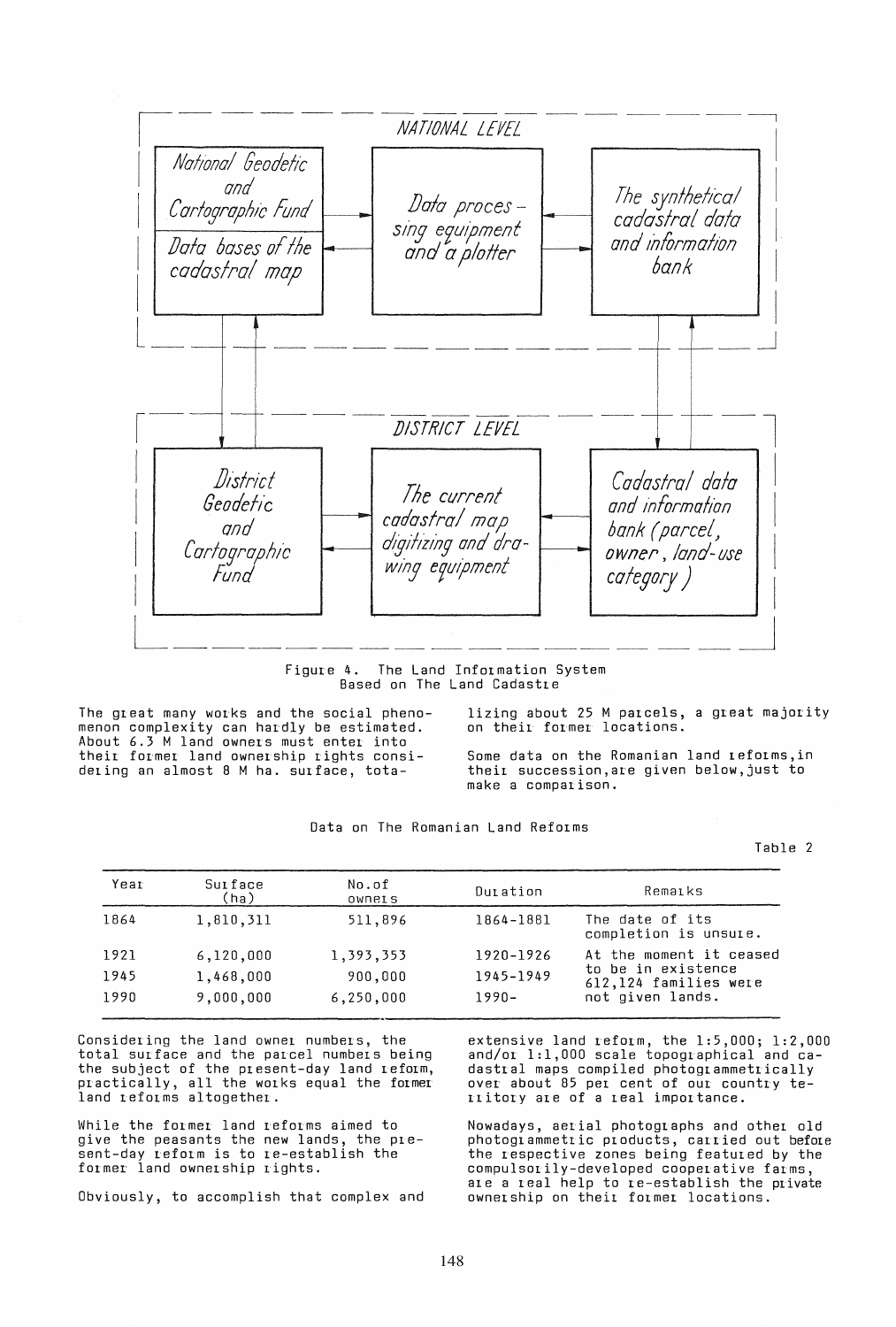

The Land Information System Figure 4. Based on The Land Cadastre

The great many works and the social phenomenon complexity can hardly be estimated. About 6.3 M land owners must enter into their former land ownership rights considering an almost 8 M ha. surface, tota-

lizing about 25 M parcels, a great majority on their former locations.

Some data on the Romanian land reforms, in their succession, are given below, just to make a comparison.

|  | Data on The Romanian Land Reforms |  |
|--|-----------------------------------|--|
|  |                                   |  |

Table 2

| Year | Surface<br>(ha) | No.of<br><b>OWNELS</b> | Duration  | Remaiks                                                                                    |  |
|------|-----------------|------------------------|-----------|--------------------------------------------------------------------------------------------|--|
| 1864 | 1,810,311       | 511,896                | 1864-1881 | The date of its<br>completion is unsure.                                                   |  |
| 1921 | 6,120,000       | 1,393,353              | 1920-1926 | At the moment it ceased<br>to be in existence<br>612,124 families were<br>not given lands. |  |
| 1945 | 1,468,000       | 900,000                | 1945-1949 |                                                                                            |  |
| 1990 | 9,000,000       | 6,250,000              | $1990 -$  |                                                                                            |  |

Considering the land owner numbers, the total surface and the parcel numbers being the subject of the present-day land reform,<br>practically, all the works equal the former<br>land reforms altogether.

While the former land reforms aimed to give the peasants the new lands, the pre-<br>sent-day reform is to re-establish the former land ownership rights.

Obviously, to accomplish that complex and

extensive land reform, the 1:5,000; 1:2,000 and/or 1:1,000 scale topographical and cadastral maps compiled photogrammetrically<br>over about 85 per cent of our country te-<br>ritory are of a real importance.

Nowadays, aerial photographs and other old photogrammetric products, carried out before<br>the respective zones being featured by the compulsorily-developed cooperative farms, are a real help to re-establish the private ownership on their former locations.